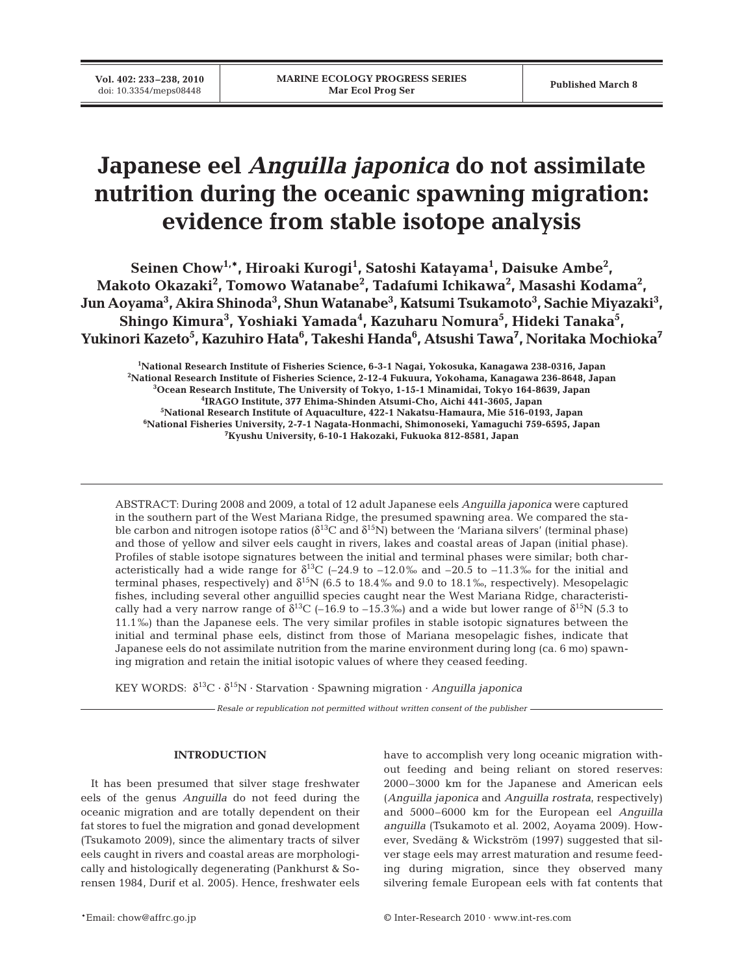# **Japanese eel** *Anguilla japonica* **do not assimilate nutrition during the oceanic spawning migration: evidence from stable isotope analysis**

Seinen Chow<sup>1,\*</sup>, Hiroaki Kurogi<sup>1</sup>, Satoshi Katayama<sup>1</sup>, Daisuke Ambe<sup>2</sup>, **Makoto Okazaki2 , Tomowo Watanabe2 , Tadafumi Ichikawa2 , Masashi Kodama2 ,**  Jun Aoyama<sup>3</sup>, Akira Shinoda<sup>3</sup>, Shun Watanabe<sup>3</sup>, Katsumi Tsukamoto<sup>3</sup>, Sachie Miyazaki<sup>3</sup>, Shingo Kimura<sup>3</sup>, Yoshiaki Yamada<sup>4</sup>, Kazuharu Nomura<sup>5</sup>, Hideki Tanaka<sup>5</sup>, Yukinori Kazeto<sup>5</sup>, Kazuhiro Hata<sup>6</sup>, Takeshi Handa<sup>6</sup>, Atsushi Tawa<sup>7</sup>, Noritaka Mochioka<sup>7</sup>

 **National Research Institute of Fisheries Science, 6-3-1 Nagai, Yokosuka, Kanagawa 238-0316, Japan National Research Institute of Fisheries Science, 2-12-4 Fukuura, Yokohama, Kanagawa 236-8648, Japan Ocean Research Institute, The University of Tokyo, 1-15-1 Minamidai, Tokyo 164-8639, Japan IRAGO Institute, 377 Ehima-Shinden Atsumi-Cho, Aichi 441-3605, Japan National Research Institute of Aquaculture, 422-1 Nakatsu-Hamaura, Mie 516-0193, Japan National Fisheries University, 2-7-1 Nagata-Honmachi, Shimonoseki, Yamaguchi 759-6595, Japan Kyushu University, 6-10-1 Hakozaki, Fukuoka 812-8581, Japan**

ABSTRACT: During 2008 and 2009, a total of 12 adult Japanese eels *Anguilla japonica* were captured in the southern part of the West Mariana Ridge, the presumed spawning area. We compared the stable carbon and nitrogen isotope ratios ( $\delta^{13}C$  and  $\delta^{15}N$ ) between the 'Mariana silvers' (terminal phase) and those of yellow and silver eels caught in rivers, lakes and coastal areas of Japan (initial phase). Profiles of stable isotope signatures between the initial and terminal phases were similar; both characteristically had a wide range for  $\delta^{13}C$  (–24.9 to –12.0‰ and –20.5 to –11.3‰ for the initial and terminal phases, respectively) and  $\delta^{15}N$  (6.5 to 18.4‰ and 9.0 to 18.1‰, respectively). Mesopelagic fishes, including several other anguillid species caught near the West Mariana Ridge, characteristically had a very narrow range of  $\delta^{13}C$  (–16.9 to –15.3‰) and a wide but lower range of  $\delta^{15}N$  (5.3 to 11.1‰) than the Japanese eels. The very similar profiles in stable isotopic signatures between the initial and terminal phase eels, distinct from those of Mariana mesopelagic fishes, indicate that Japanese eels do not assimilate nutrition from the marine environment during long (ca. 6 mo) spawning migration and retain the initial isotopic values of where they ceased feeding.

KEY WORDS: δ13C · δ15N · Starvation · Spawning migration · *Anguilla japonica*

*Resale or republication not permitted without written consent of the publisher*

## **INTRODUCTION**

It has been presumed that silver stage freshwater eels of the genus *Anguilla* do not feed during the oceanic migration and are totally dependent on their fat stores to fuel the migration and gonad development (Tsukamoto 2009), since the alimentary tracts of silver eels caught in rivers and coastal areas are morphologically and histologically degenerating (Pankhurst & Sorensen 1984, Durif et al. 2005). Hence, freshwater eels have to accomplish very long oceanic migration without feeding and being reliant on stored reserves: 2000–3000 km for the Japanese and American eels (*Anguilla japonica* and *Anguilla rostrata*, respectively) and 5000–6000 km for the European eel *Anguilla anguilla* (Tsukamoto et al. 2002, Aoyama 2009). However, Svedäng & Wickström (1997) suggested that silver stage eels may arrest maturation and resume feeding during migration, since they observed many silvering female European eels with fat contents that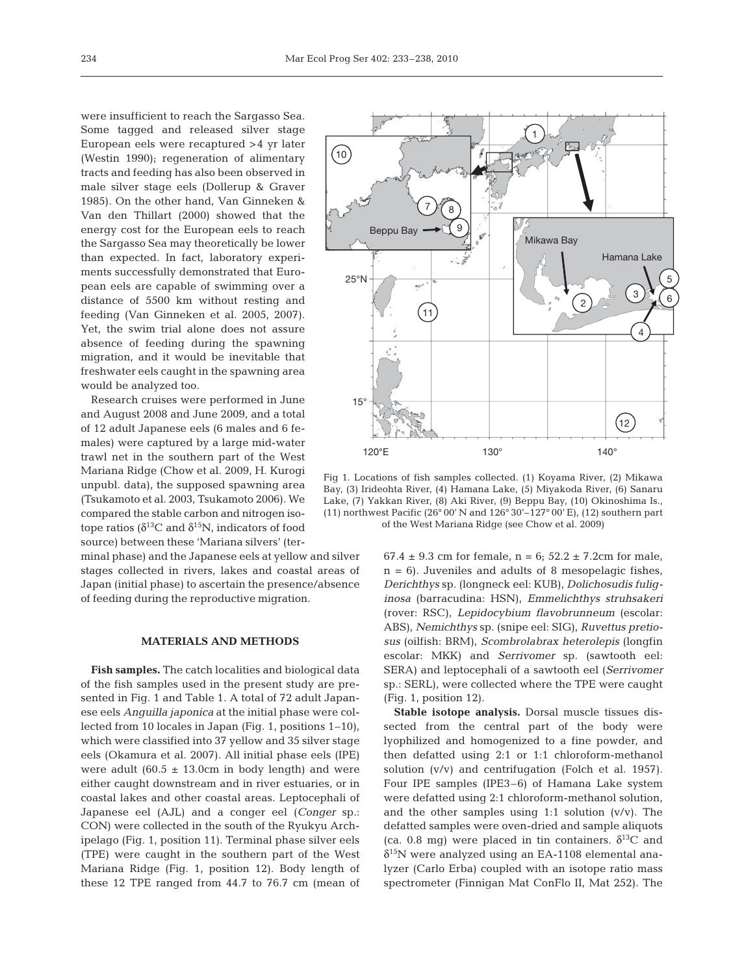were insufficient to reach the Sargasso Sea. Some tagged and released silver stage European eels were recaptured >4 yr later (Westin 1990); regeneration of alimentary tracts and feeding has also been observed in male silver stage eels (Dollerup & Graver 1985). On the other hand, Van Ginneken & Van den Thillart (2000) showed that the energy cost for the European eels to reach the Sargasso Sea may theoretically be lower than expected. In fact, laboratory experiments successfully demonstrated that European eels are capable of swimming over a distance of 5500 km without resting and feeding (Van Ginneken et al. 2005, 2007). Yet, the swim trial alone does not assure absence of feeding during the spawning migration, and it would be inevitable that freshwater eels caught in the spawning area would be analyzed too.

Research cruises were performed in June and August 2008 and June 2009, and a total of 12 adult Japanese eels (6 males and 6 females) were captured by a large mid-water trawl net in the southern part of the West Mariana Ridge (Chow et al. 2009, H. Kurogi unpubl. data), the supposed spawning area (Tsukamoto et al. 2003, Tsukamoto 2006). We compared the stable carbon and nitrogen isotope ratios ( $\delta^{13}$ C and  $\delta^{15}$ N, indicators of food source) between these 'Mariana silvers' (ter-

minal phase) and the Japanese eels at yellow and silver stages collected in rivers, lakes and coastal areas of Japan (initial phase) to ascertain the presence/absence of feeding during the reproductive migration.

### **MATERIALS AND METHODS**

**Fish samples.** The catch localities and biological data of the fish samples used in the present study are presented in Fig. 1 and Table 1. A total of 72 adult Japanese eels *Anguilla japonica* at the initial phase were collected from 10 locales in Japan (Fig. 1, positions 1–10), which were classified into 37 yellow and 35 silver stage eels (Okamura et al. 2007). All initial phase eels (IPE) were adult  $(60.5 \pm 13.0 \text{cm}$  in body length) and were either caught downstream and in river estuaries, or in coastal lakes and other coastal areas. Leptocephali of Japanese eel (AJL) and a conger eel (*Conger* sp.: CON) were collected in the south of the Ryukyu Archipelago (Fig. 1, position 11). Terminal phase silver eels (TPE) were caught in the southern part of the West Mariana Ridge (Fig. 1, position 12). Body length of these 12 TPE ranged from 44.7 to 76.7 cm (mean of



Fig 1. Locations of fish samples collected. (1) Koyama River, (2) Mikawa Bay, (3) Irideohta River, (4) Hamana Lake, (5) Miyakoda River, (6) Sanaru Lake, (7) Yakkan River, (8) Aki River, (9) Beppu Bay, (10) Okinoshima Is., (11) northwest Pacific (26° 00' N and 126° 30'–127° 00' E), (12) southern part of the West Mariana Ridge (see Chow et al. 2009)

67.4  $\pm$  9.3 cm for female, n = 6; 52.2  $\pm$  7.2cm for male,  $n = 6$ ). Juveniles and adults of 8 mesopelagic fishes, *Derichthys* sp. (longneck eel: KUB), *Dolichosudis fuliginosa* (barracudina: HSN), *Emmelichthys struhsakeri* (rover: RSC), *Lepidocybium flavobrunneum* (escolar: ABS), *Nemichthys* sp. (snipe eel: SIG), *Ruvettus pretiosus* (oilfish: BRM), *Scombrolabrax heterolepis* (longfin escolar: MKK) and *Serrivomer* sp. (sawtooth eel: SERA) and leptocephali of a sawtooth eel (*Serrivomer* sp.: SERL), were collected where the TPE were caught (Fig. 1, position 12).

**Stable isotope analysis.** Dorsal muscle tissues dissected from the central part of the body were lyophilized and homogenized to a fine powder, and then defatted using 2:1 or 1:1 chloroform-methanol solution (v/v) and centrifugation (Folch et al. 1957). Four IPE samples (IPE3–6) of Hamana Lake system were defatted using 2:1 chloroform-methanol solution, and the other samples using  $1:1$  solution  $(v/v)$ . The defatted samples were oven-dried and sample aliquots (ca. 0.8 mg) were placed in tin containers.  $\delta^{13}$ C and  $\delta^{15}$ N were analyzed using an EA-1108 elemental analyzer (Carlo Erba) coupled with an isotope ratio mass spectrometer (Finnigan Mat ConFlo II, Mat 252). The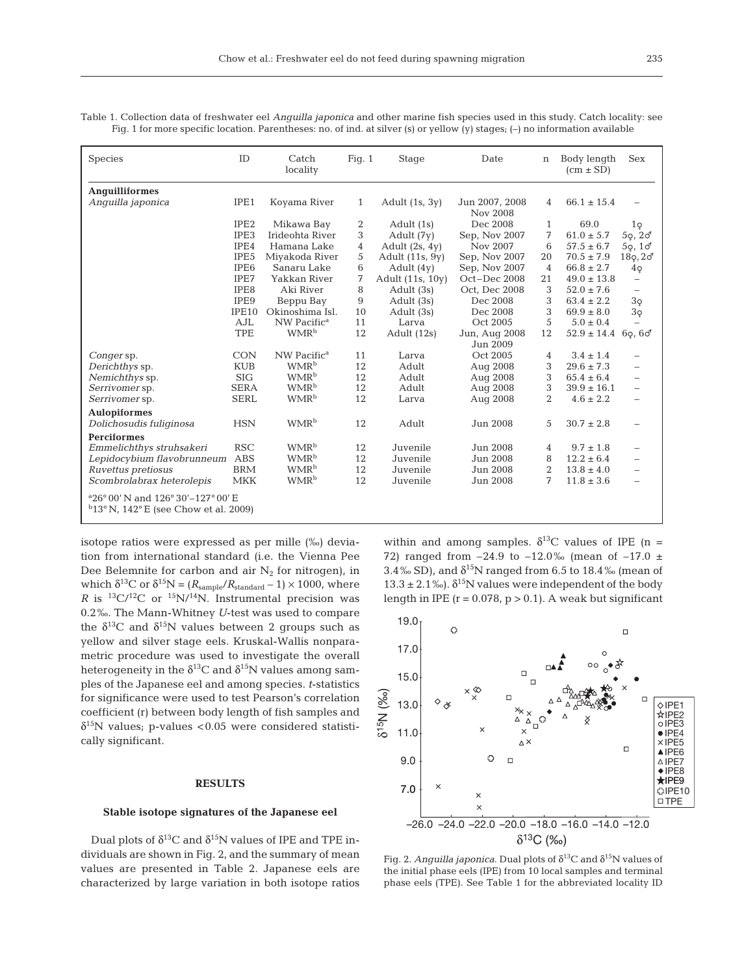Table 1. Collection data of freshwater eel *Anguilla japonica* and other marine fish species used in this study. Catch locality: see Fig. 1 for more specific location. Parentheses: no. of ind. at silver (s) or yellow (y) stages; (–) no information available

| <b>Species</b>                                                                                                     | ID               | Catch<br>locality       | Fig. $1$     | Stage             | Date                       | $\mathbf n$    | Body length<br>$(cm \pm SD)$ | <b>Sex</b> |
|--------------------------------------------------------------------------------------------------------------------|------------------|-------------------------|--------------|-------------------|----------------------------|----------------|------------------------------|------------|
| Anguilliformes                                                                                                     |                  |                         |              |                   |                            |                |                              |            |
| Anquilla japonica                                                                                                  | IPE1             | Koyama River            | $\mathbf{1}$ | Adult $(1s, 3y)$  | Jun 2007, 2008<br>Nov 2008 | 4              | $66.1 \pm 15.4$              |            |
|                                                                                                                    | IPE <sub>2</sub> | Mikawa Bay              | 2            | Adult (1s)        | Dec 2008                   | $\mathbf{1}$   | 69.0                         | $1\circ$   |
|                                                                                                                    | IPE3             | Irideohta River         | 3            | Adult (7y)        | Sep, Nov 2007              | 7              | $61.0 \pm 5.7$               | 59, 20     |
|                                                                                                                    | IPE4             | Hamana Lake             | 4            | Adult $(2s, 4y)$  | Nov 2007                   | 6              | $57.5 \pm 6.7$               | 50, 10     |
|                                                                                                                    | IPE5             | Miyakoda River          | 5            | Adult $(11s, 9y)$ | Sep, Nov 2007              | 20             | $70.5 \pm 7.9$               | 180, 20    |
|                                                                                                                    | IPE <sub>6</sub> | Sanaru Lake             | 6            | Adult $(4y)$      | Sep, Nov 2007              | $\overline{4}$ | $66.8 \pm 2.7$               | $4\circ$   |
|                                                                                                                    | IPE7             | Yakkan River            | 7            | Adult (11s, 10y)  | Oct-Dec 2008               | 21             | $49.0 \pm 13.8$              |            |
|                                                                                                                    | IPE8             | Aki River               | 8            | Adult (3s)        | Oct, Dec 2008              | 3              | $52.0 \pm 7.6$               |            |
|                                                                                                                    | IPE9             | Beppu Bay               | 9            | Adult (3s)        | Dec 2008                   | 3              | $63.4 \pm 2.2$               | $3\varphi$ |
|                                                                                                                    | IPE10            | Okinoshima Isl.         | 10           | Adult (3s)        | Dec 2008                   | 3              | $69.9 \pm 8.0$               | $3\varphi$ |
|                                                                                                                    | AJL              | NW Pacific <sup>a</sup> | 11           | Larva             | Oct 2005                   | 5              | $5.0 \pm 0.4$                |            |
|                                                                                                                    | <b>TPE</b>       | WMR <sup>b</sup>        | 12           | Adult (12s)       | Jun, Aug 2008              | 12             | $52.9 \pm 14.4$ 69,60        |            |
|                                                                                                                    |                  |                         |              |                   | Jun 2009                   |                |                              |            |
| Conger sp.                                                                                                         | <b>CON</b>       | NW Pacific <sup>a</sup> | 11           | Larva             | Oct 2005                   | 4              | $3.4 \pm 1.4$                |            |
| Derichthys sp.                                                                                                     | <b>KUB</b>       | WMR <sup>b</sup>        | 12           | Adult             | Aug 2008                   | 3              | $29.6 \pm 7.3$               |            |
| Nemichthys sp.                                                                                                     | SIG              | WMR <sup>b</sup>        | 12           | Adult             | Aug 2008                   | 3              | $65.4 \pm 6.4$               |            |
| Serrivomer sp.                                                                                                     | <b>SERA</b>      | WMR <sup>b</sup>        | 12           | Adult             | Aug 2008                   | 3              | $39.9 \pm 16.1$              |            |
| Serrivomer sp.                                                                                                     | <b>SERL</b>      | <b>WMR</b> <sup>b</sup> | 12           | Larva             | Aug 2008                   | $\overline{2}$ | $4.6 \pm 2.2$                |            |
| <b>Aulopiformes</b>                                                                                                |                  |                         |              |                   |                            |                |                              |            |
| Dolichosudis fuliginosa                                                                                            | <b>HSN</b>       | <b>WMR</b> <sup>b</sup> | 12           | Adult             | Jun 2008                   | 5              | $30.7 \pm 2.8$               |            |
| <b>Perciformes</b>                                                                                                 |                  |                         |              |                   |                            |                |                              |            |
| Emmelichthys struhsakeri                                                                                           | <b>RSC</b>       | WMR <sup>b</sup>        | 12           | Juvenile          | Jun 2008                   | 4              | $9.7 \pm 1.8$                |            |
| Lepidocybium flavobrunneum                                                                                         | <b>ABS</b>       | WMR <sup>b</sup>        | 12           | Juvenile          | Jun 2008                   | 8              | $12.2 \pm 6.4$               |            |
| Ruvettus pretiosus                                                                                                 | <b>BRM</b>       | WMR <sup>b</sup>        | 12           | Juvenile          | Jun 2008                   | $\overline{2}$ | $13.8 \pm 4.0$               |            |
| Scombrolabrax heterolepis                                                                                          | <b>MKK</b>       | WMR <sup>b</sup>        | 12           | Juvenile          | Jun 2008                   | 7              | $11.8 \pm 3.6$               |            |
|                                                                                                                    |                  |                         |              |                   |                            |                |                              |            |
| $^{\circ}26^{\circ}00'$ N and 126 $^{\circ}30'$ – 127 $^{\circ}00'$ E<br>$b_{13}$ °N, 142°E (see Chow et al. 2009) |                  |                         |              |                   |                            |                |                              |            |

isotope ratios were expressed as per mille (‰) deviation from international standard (i.e. the Vienna Pee Dee Belemnite for carbon and air  $N_2$  for nitrogen), in which  $\delta^{13}C$  or  $\delta^{15}N = (R_{sample}/R_{standard} - 1) \times 1000$ , where *R* is  ${}^{13}C/{}^{12}C$  or  ${}^{15}N/{}^{14}N$ . Instrumental precision was 0.2‰. The Mann-Whitney *U*-test was used to compare the  $\delta^{13}C$  and  $\delta^{15}N$  values between 2 groups such as yellow and silver stage eels. Kruskal-Wallis nonparametric procedure was used to investigate the overall heterogeneity in the  $\delta^{13}$ C and  $\delta^{15}$ N values among samples of the Japanese eel and among species. *t*-statistics for significance were used to test Pearson's correlation coefficient (r) between body length of fish samples and  $\delta^{15}$ N values; p-values <0.05 were considered statistically significant.

# **RESULTS**

#### **Stable isotope signatures of the Japanese eel**

Dual plots of  $\delta^{13}C$  and  $\delta^{15}N$  values of IPE and TPE individuals are shown in Fig. 2, and the summary of mean values are presented in Table 2. Japanese eels are characterized by large variation in both isotope ratios

within and among samples.  $\delta^{13}$ C values of IPE (n = 72) ranged from  $-24.9$  to  $-12.0\%$  (mean of  $-17.0 \pm 12.0\%$ 3.4‰ SD), and  $\delta^{15}N$  ranged from 6.5 to 18.4‰ (mean of  $13.3 \pm 2.1\%$ ).  $\delta^{15}$ N values were independent of the body length in IPE  $(r = 0.078, p > 0.1)$ . A weak but significant



Fig. 2. *Anguilla japonica*. Dual plots of  $\delta^{13}C$  and  $\delta^{15}N$  values of the initial phase eels (IPE) from 10 local samples and terminal phase eels (TPE). See Table 1 for the abbreviated locality ID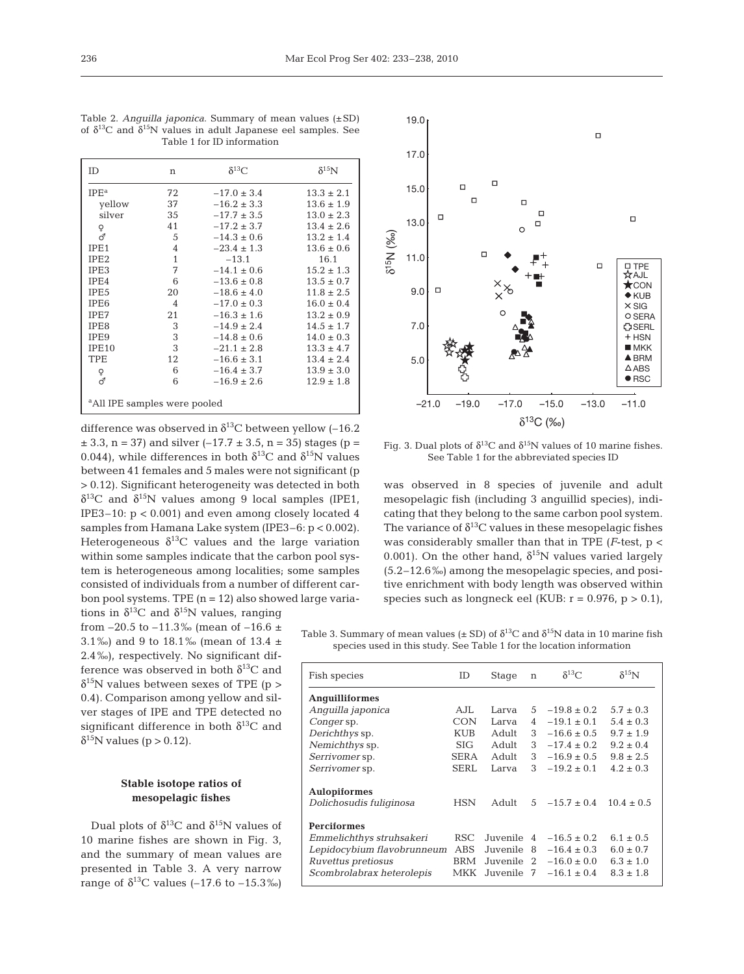| Table 1 for ID information |                |                 |                |  |  |  |  |
|----------------------------|----------------|-----------------|----------------|--|--|--|--|
| ID                         | n              | $\delta^{13}C$  | $\delta^{15}N$ |  |  |  |  |
| IPE <sup>a</sup>           | 72             | $-17.0 \pm 3.4$ | $13.3 \pm 2.1$ |  |  |  |  |
| yellow                     | 37             | $-16.2 \pm 3.3$ | $13.6 \pm 1.9$ |  |  |  |  |
| silver                     | 35             | $-17.7 \pm 3.5$ | $13.0 \pm 2.3$ |  |  |  |  |
|                            | 41             | $-17.2 \pm 3.7$ | $13.4 \pm 2.6$ |  |  |  |  |
| ०<br>०                     | 5              | $-14.3 \pm 0.6$ | $13.2 \pm 1.4$ |  |  |  |  |
| IPE1                       | $\overline{4}$ | $-23.4 \pm 1.3$ | $13.6 \pm 0.6$ |  |  |  |  |
| IPE <sub>2</sub>           | $\mathbf{1}$   | $-13.1$         | 16.1           |  |  |  |  |
| IPE3                       | 7              | $-14.1 \pm 0.6$ | $15.2 \pm 1.3$ |  |  |  |  |
| IPE4                       | 6              | $-13.6 \pm 0.8$ | $13.5 \pm 0.7$ |  |  |  |  |
| IPE <sub>5</sub>           | 20             | $-18.6 \pm 4.0$ | $11.8 \pm 2.5$ |  |  |  |  |
| IPE <sub>6</sub>           | 4              | $-17.0 \pm 0.3$ | $16.0 \pm 0.4$ |  |  |  |  |
| IPE7                       | 21             | $-16.3 \pm 1.6$ | $13.2 \pm 0.9$ |  |  |  |  |
| IPE8                       | 3              | $-14.9 \pm 2.4$ | $14.5 \pm 1.7$ |  |  |  |  |
| IPE <sub>9</sub>           | 3              | $-14.8 \pm 0.6$ | $14.0 \pm 0.3$ |  |  |  |  |
| IPE <sub>10</sub>          | 3              | $-21.1 \pm 2.8$ | $13.3 \pm 4.7$ |  |  |  |  |

TPE  $12 -16.6 \pm 3.1$   $13.4 \pm 2.4$ <br>  $0 \qquad 6 -16.4 \pm 3.7$   $13.9 \pm 3.0$  $\begin{array}{llll} \text{\large $\circ$} & \qquad \qquad 6 & \qquad -16.4 \pm 3.7 & \qquad \qquad 13.9 \pm 3.0 \\ \text{\large $\sigma$} & \qquad \qquad 6 & \qquad -16.9 \pm 2.6 & \qquad \qquad 12.9 \pm 1.8 \end{array}$  $-16.9 \pm 2.6$ 

a All IPE samples were pooled

Table 2. *Anguilla japonica*. Summary of mean values (±SD) of  $\delta^{13}C$  and  $\delta^{15}N$  values in adult Japanese eel samples. See

difference was observed in  $\delta^{13}$ C between yellow (-16.2)  $\pm$  3.3, n = 37) and silver (-17.7  $\pm$  3.5, n = 35) stages (p = 0.044), while differences in both  $\delta^{13}$ C and  $\delta^{15}$ N values between 41 females and 5 males were not significant (p > 0.12). Significant heterogeneity was detected in both  $\delta^{13}$ C and  $\delta^{15}$ N values among 9 local samples (IPE1, IPE3–10: p < 0.001) and even among closely located 4 samples from Hamana Lake system (IPE3–6: p < 0.002). Heterogeneous  $\delta^{13}$ C values and the large variation within some samples indicate that the carbon pool system is heterogeneous among localities; some samples consisted of individuals from a number of different carbon pool systems. TPE  $(n = 12)$  also showed large varia-

tions in  $\delta^{13}$ C and  $\delta^{15}$ N values, ranging from  $-20.5$  to  $-11.3$ % (mean of  $-16.6 \pm$ 3.1‰) and 9 to 18.1‰ (mean of 13.4  $\pm$ 2.4‰), respectively. No significant difference was observed in both  $\delta^{13}C$  and  $\delta^{15}$ N values between sexes of TPE (p > 0.4). Comparison among yellow and silver stages of IPE and TPE detected no significant difference in both  $\delta^{13}C$  and  $\delta^{15}$ N values (p > 0.12).

# **Stable isotope ratios of mesopelagic fishes**

Dual plots of  $\delta^{13}$ C and  $\delta^{15}$ N values of 10 marine fishes are shown in Fig. 3, and the summary of mean values are presented in Table 3. A very narrow range of  $\delta^{13}$ C values (–17.6 to –15.3‰)



Fig. 3. Dual plots of  $\delta^{13}C$  and  $\delta^{15}N$  values of 10 marine fishes. See Table 1 for the abbreviated species ID

was observed in 8 species of juvenile and adult mesopelagic fish (including 3 anguillid species), indicating that they belong to the same carbon pool system. The variance of  $\delta^{13}$ C values in these mesopelagic fishes was considerably smaller than that in TPE (*F*-test, p < 0.001). On the other hand,  $\delta^{15}N$  values varied largely (5.2–12.6‰) among the mesopelagic species, and positive enrichment with body length was observed within species such as longneck eel (KUB:  $r = 0.976$ ,  $p > 0.1$ ),

Table 3. Summary of mean values ( $\pm$  SD) of  $\delta^{13}$ C and  $\delta^{15}$ N data in 10 marine fish species used in this study. See Table 1 for the location information

| Fish species               | ID          | Stage    | $\mathbf n$    | $\delta^{13}$ C | $\delta^{15}N$ |
|----------------------------|-------------|----------|----------------|-----------------|----------------|
| <b>Anguilliformes</b>      |             |          |                |                 |                |
| Anquilla japonica          | A.JL        | Larva    | 5              | $-19.8 \pm 0.2$ | $5.7 \pm 0.3$  |
| Conger sp.                 | <b>CON</b>  | Larva    | 4              | $-19.1 + 0.1$   | $5.4 \pm 0.3$  |
| Derichthys sp.             | <b>KUB</b>  | Adult    | 3              | $-16.6 \pm 0.5$ | $9.7 \pm 1.9$  |
| Nemichthys sp.             | SIG.        | Adult    | 3              | $-17.4 \pm 0.2$ | $9.2 \pm 0.4$  |
| Serrivomer sp.             | <b>SERA</b> | Adult    | 3              | $-16.9 \pm 0.5$ | $9.8 \pm 2.5$  |
| Serrivomer sp.             | <b>SERL</b> | Larva    | 3              | $-19.2 \pm 0.1$ | $4.2 \pm 0.3$  |
| <b>Aulopiformes</b>        |             |          |                |                 |                |
| Dolichosudis fuliginosa    | <b>HSN</b>  | Adult    | 5              | $-15.7 \pm 0.4$ | $10.4 \pm 0.5$ |
| <b>Perciformes</b>         |             |          |                |                 |                |
| Emmelichthys struhsakeri   | RSC.        | Juvenile | $\overline{4}$ | $-16.5 \pm 0.2$ | $6.1 \pm 0.5$  |
| Lepidocybium flavobrunneum | ABS         | Juvenile | 8              | $-16.4 \pm 0.3$ | $6.0 \pm 0.7$  |
| Ruvettus pretiosus         | BRM         | Juvenile | 2              | $-16.0 \pm 0.0$ | $6.3 \pm 1.0$  |
| Scombrolabrax heterolepis  | MKK         | Juvenile | 7              | $-16.1 \pm 0.4$ | $8.3 \pm 1.8$  |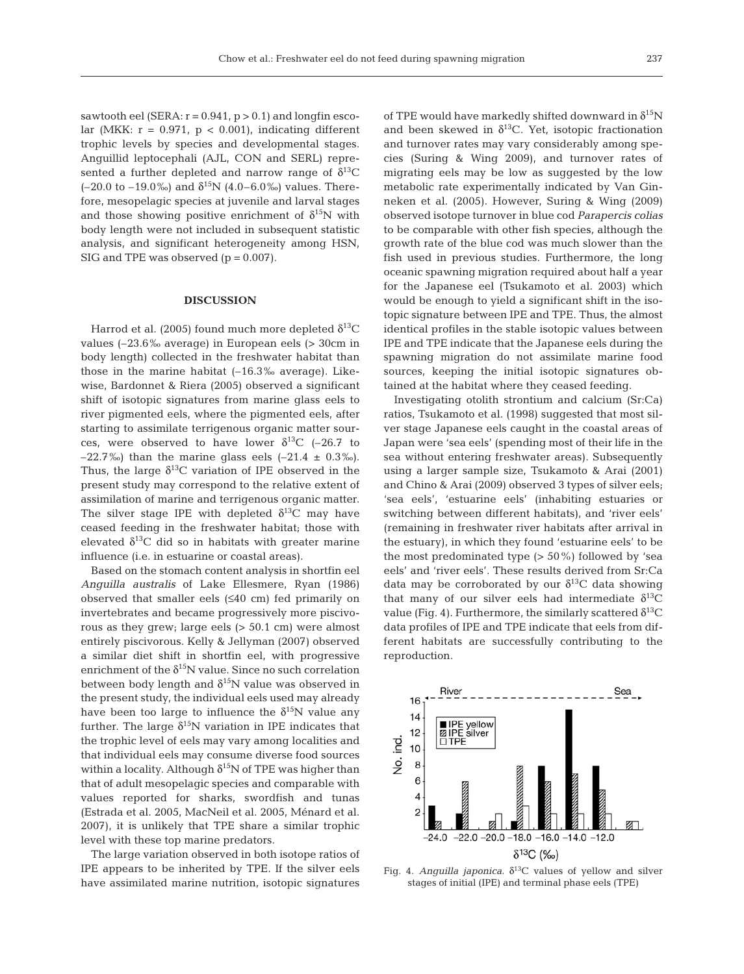sawtooth eel (SERA:  $r = 0.941$ ,  $p > 0.1$ ) and longfin escolar (MKK:  $r = 0.971$ ,  $p < 0.001$ ), indicating different trophic levels by species and developmental stages. Anguillid leptocephali (AJL, CON and SERL) represented a further depleted and narrow range of  $\delta^{13}C$  $(-20.0 \text{ to } -19.0\%)$  and  $\delta^{15}N$  (4.0–6.0%) values. Therefore, mesopelagic species at juvenile and larval stages and those showing positive enrichment of  $\delta^{15}N$  with body length were not included in subsequent statistic analysis, and significant heterogeneity among HSN, SIG and TPE was observed  $(p = 0.007)$ .

#### **DISCUSSION**

Harrod et al. (2005) found much more depleted  $\delta^{13}C$ values (–23.6‰ average) in European eels (> 30cm in body length) collected in the freshwater habitat than those in the marine habitat  $(-16.3\%$  average). Likewise, Bardonnet & Riera (2005) observed a significant shift of isotopic signatures from marine glass eels to river pigmented eels, where the pigmented eels, after starting to assimilate terrigenous organic matter sources, were observed to have lower  $\delta^{13}$ C (-26.7 to –22.7‰) than the marine glass eels  $(-21.4 \pm 0.3\%)$ . Thus, the large  $\delta^{13}C$  variation of IPE observed in the present study may correspond to the relative extent of assimilation of marine and terrigenous organic matter. The silver stage IPE with depleted  $\delta^{13}$ C may have ceased feeding in the freshwater habitat; those with elevated  $\delta^{13}$ C did so in habitats with greater marine influence (i.e. in estuarine or coastal areas).

Based on the stomach content analysis in shortfin eel *Anguilla australis* of Lake Ellesmere, Ryan (1986) observed that smaller eels (≤40 cm) fed primarily on invertebrates and became progressively more piscivorous as they grew; large eels (> 50.1 cm) were almost entirely piscivorous. Kelly & Jellyman (2007) observed a similar diet shift in shortfin eel, with progressive enrichment of the  $\delta^{15}N$  value. Since no such correlation between body length and  $\delta^{15}N$  value was observed in the present study, the individual eels used may already have been too large to influence the  $\delta^{15}$ N value any further. The large  $\delta^{15}N$  variation in IPE indicates that the trophic level of eels may vary among localities and that individual eels may consume diverse food sources within a locality. Although  $\delta^{15}N$  of TPE was higher than that of adult mesopelagic species and comparable with values reported for sharks, swordfish and tunas (Estrada et al. 2005, MacNeil et al. 2005, Ménard et al. 2007), it is unlikely that TPE share a similar trophic level with these top marine predators.

The large variation observed in both isotope ratios of IPE appears to be inherited by TPE. If the silver eels have assimilated marine nutrition, isotopic signatures of TPE would have markedly shifted downward in  $\delta^{15}N$ and been skewed in  $\delta^{13}$ C. Yet, isotopic fractionation and turnover rates may vary considerably among species (Suring & Wing 2009), and turnover rates of migrating eels may be low as suggested by the low metabolic rate experimentally indicated by Van Ginneken et al. (2005). However, Suring & Wing (2009) observed isotope turnover in blue cod *Parapercis colias* to be comparable with other fish species, although the growth rate of the blue cod was much slower than the fish used in previous studies. Furthermore, the long oceanic spawning migration required about half a year for the Japanese eel (Tsukamoto et al. 2003) which would be enough to yield a significant shift in the isotopic signature between IPE and TPE. Thus, the almost identical profiles in the stable isotopic values between IPE and TPE indicate that the Japanese eels during the spawning migration do not assimilate marine food sources, keeping the initial isotopic signatures obtained at the habitat where they ceased feeding.

Investigating otolith strontium and calcium (Sr:Ca) ratios, Tsukamoto et al. (1998) suggested that most silver stage Japanese eels caught in the coastal areas of Japan were 'sea eels' (spending most of their life in the sea without entering freshwater areas). Subsequently using a larger sample size, Tsukamoto & Arai (2001) and Chino & Arai (2009) observed 3 types of silver eels; 'sea eels', 'estuarine eels' (inhabiting estuaries or switching between different habitats), and 'river eels' (remaining in freshwater river habitats after arrival in the estuary), in which they found 'estuarine eels' to be the most predominated type  $(> 50\%)$  followed by 'sea eels' and 'river eels'. These results derived from Sr:Ca data may be corroborated by our  $\delta^{13}$ C data showing that many of our silver eels had intermediate  $\delta^{13}C$ value (Fig. 4). Furthermore, the similarly scattered  $δ<sup>13</sup>C$ data profiles of IPE and TPE indicate that eels from different habitats are successfully contributing to the reproduction.



Fig. 4. *Anguilla japonica*.  $\delta^{13}$ C values of yellow and silver stages of initial (IPE) and terminal phase eels (TPE)